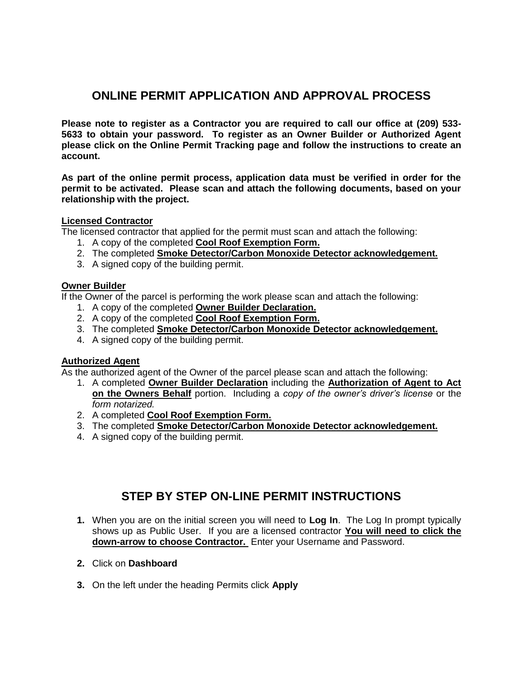# **ONLINE PERMIT APPLICATION AND APPROVAL PROCESS**

**Please note to register as a Contractor you are required to call our office at (209) 533- 5633 to obtain your password. To register as an Owner Builder or Authorized Agent please click on the Online Permit Tracking page and follow the instructions to create an account.**

**As part of the online permit process, application data must be verified in order for the permit to be activated. Please scan and attach the following documents, based on your relationship with the project.**

## **Licensed Contractor**

The licensed contractor that applied for the permit must scan and attach the following:

- 1. A copy of the completed **Cool Roof Exemption Form.**
- 2. The completed **Smoke Detector/Carbon Monoxide Detector acknowledgement.**
- 3. A signed copy of the building permit.

#### **Owner Builder**

If the Owner of the parcel is performing the work please scan and attach the following:

- 1. A copy of the completed **Owner Builder Declaration.**
- 2. A copy of the completed **Cool Roof Exemption Form.**
- 3. The completed **Smoke Detector/Carbon Monoxide Detector acknowledgement.**
- 4. A signed copy of the building permit.

## **Authorized Agent**

As the authorized agent of the Owner of the parcel please scan and attach the following:

- 1. A completed **Owner Builder Declaration** including the **Authorization of Agent to Act on the Owners Behalf** portion. Including a *copy of the owner's driver's license* or the *form notarized.*
- 2. A completed **Cool Roof Exemption Form.**
- 3. The completed **Smoke Detector/Carbon Monoxide Detector acknowledgement.**
- 4. A signed copy of the building permit.

## **STEP BY STEP ON-LINE PERMIT INSTRUCTIONS**

- **1.** When you are on the initial screen you will need to **Log In**. The Log In prompt typically shows up as Public User. If you are a licensed contractor **You will need to click the down-arrow to choose Contractor.** Enter your Username and Password.
- **2.** Click on **Dashboard**
- **3.** On the left under the heading Permits click **Apply**